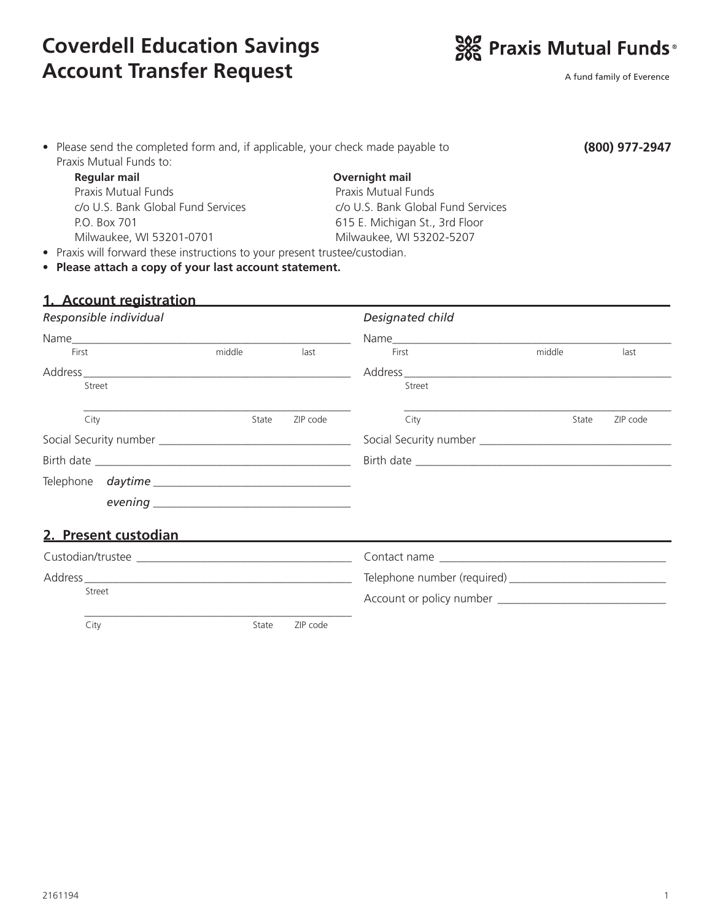# **Coverdell Education Savings Account Transfer Request**



A fund family of Everence

| • Please send the completed form and, if applicable, your check made payable to |                                    | (800) 977-2947 |  |
|---------------------------------------------------------------------------------|------------------------------------|----------------|--|
| Praxis Mutual Funds to:                                                         |                                    |                |  |
| Regular mail                                                                    | Overnight mail                     |                |  |
| Praxis Mutual Funds                                                             | Praxis Mutual Funds                |                |  |
| c/o U.S. Bank Global Fund Services                                              | c/o U.S. Bank Global Fund Services |                |  |
| P.O. Box 701                                                                    | 615 E. Michigan St., 3rd Floor     |                |  |
| Milwaukee, WI 53201-0701                                                        | Milwaukee, WI 53202-5207           |                |  |
| • Praxis will forward these instructions to your present trustee/custodian.     |                                    |                |  |
| • Please attach a copy of your last account statement.                          |                                    |                |  |
|                                                                                 |                                    |                |  |
| 1. Account registration                                                         |                                    |                |  |

| Responsible individual                                                                                                                                                                                                               |        |          | Designated child |        |          |
|--------------------------------------------------------------------------------------------------------------------------------------------------------------------------------------------------------------------------------------|--------|----------|------------------|--------|----------|
|                                                                                                                                                                                                                                      |        |          | Name             |        |          |
| First                                                                                                                                                                                                                                | middle | last     | First            | middle | last     |
|                                                                                                                                                                                                                                      |        |          |                  |        |          |
| Street                                                                                                                                                                                                                               |        |          | Street           |        |          |
| City                                                                                                                                                                                                                                 | State  | ZIP code | City             | State  | ZIP code |
|                                                                                                                                                                                                                                      |        |          |                  |        |          |
|                                                                                                                                                                                                                                      |        |          |                  |        |          |
|                                                                                                                                                                                                                                      |        |          |                  |        |          |
|                                                                                                                                                                                                                                      |        |          |                  |        |          |
| <u>2. Present custodian and a strategie of the strategie of the strategie of the strategie of the strategie of the strategie of the strategie of the strategie of the strategie of the strategie of the strategie of the strateg</u> |        |          |                  |        |          |
|                                                                                                                                                                                                                                      |        |          |                  |        |          |
|                                                                                                                                                                                                                                      |        |          |                  |        |          |
| Street                                                                                                                                                                                                                               |        |          |                  |        |          |

City **State** ZIP code